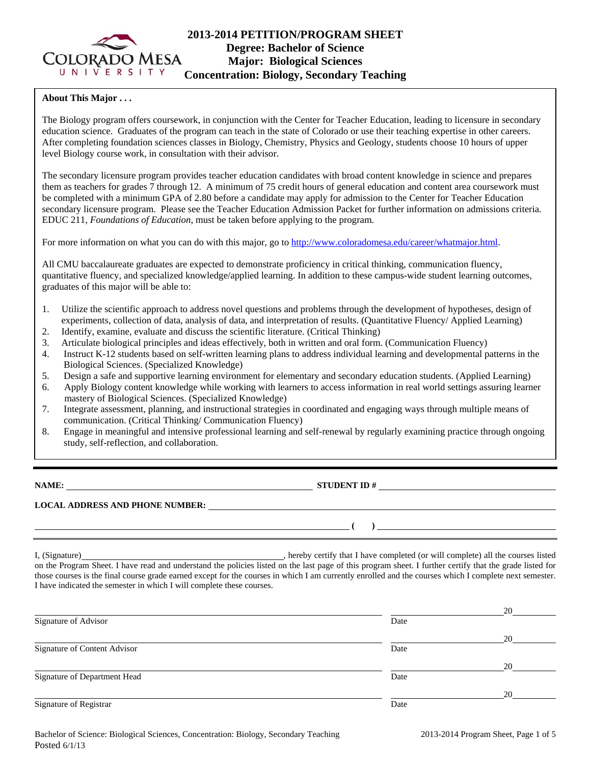

# **2013-2014 PETITION/PROGRAM SHEET Degree: Bachelor of Science Major: Biological Sciences Concentration: Biology, Secondary Teaching**

### **About This Major . . .**

The Biology program offers coursework, in conjunction with the Center for Teacher Education, leading to licensure in secondary education science. Graduates of the program can teach in the state of Colorado or use their teaching expertise in other careers. After completing foundation sciences classes in Biology, Chemistry, Physics and Geology, students choose 10 hours of upper level Biology course work, in consultation with their advisor.

The secondary licensure program provides teacher education candidates with broad content knowledge in science and prepares them as teachers for grades 7 through 12. A minimum of 75 credit hours of general education and content area coursework must be completed with a minimum GPA of 2.80 before a candidate may apply for admission to the Center for Teacher Education secondary licensure program. Please see the Teacher Education Admission Packet for further information on admissions criteria. EDUC 211, *Foundations of Education*, must be taken before applying to the program.

For more information on what you can do with this major, go to http://www.coloradomesa.edu/career/whatmajor.html.

All CMU baccalaureate graduates are expected to demonstrate proficiency in critical thinking, communication fluency, quantitative fluency, and specialized knowledge/applied learning. In addition to these campus-wide student learning outcomes, graduates of this major will be able to:

- 1. Utilize the scientific approach to address novel questions and problems through the development of hypotheses, design of experiments, collection of data, analysis of data, and interpretation of results. (Quantitative Fluency/ Applied Learning)
- 2. Identify, examine, evaluate and discuss the scientific literature. (Critical Thinking)
- 3. Articulate biological principles and ideas effectively, both in written and oral form. (Communication Fluency)
- 4. Instruct K-12 students based on self-written learning plans to address individual learning and developmental patterns in the Biological Sciences. (Specialized Knowledge)
- 5. Design a safe and supportive learning environment for elementary and secondary education students. (Applied Learning)
- 6. Apply Biology content knowledge while working with learners to access information in real world settings assuring learner mastery of Biological Sciences. (Specialized Knowledge)
- 7. Integrate assessment, planning, and instructional strategies in coordinated and engaging ways through multiple means of communication. (Critical Thinking/ Communication Fluency)
- 8. Engage in meaningful and intensive professional learning and self-renewal by regularly examining practice through ongoing study, self-reflection, and collaboration.

**NAME: STUDENT ID #**

 **( )** 

# **LOCAL ADDRESS AND PHONE NUMBER:**

I, (Signature) , hereby certify that I have completed (or will complete) all the courses listed on the Program Sheet. I have read and understand the policies listed on the last page of this program sheet. I further certify that the grade listed for those courses is the final course grade earned except for the courses in which I am currently enrolled and the courses which I complete next semester. I have indicated the semester in which I will complete these courses.

|                              |      | 20 |
|------------------------------|------|----|
| Signature of Advisor         | Date |    |
|                              |      | 20 |
| Signature of Content Advisor | Date |    |
|                              |      | 20 |
| Signature of Department Head | Date |    |
|                              |      | 20 |
| Signature of Registrar       | Date |    |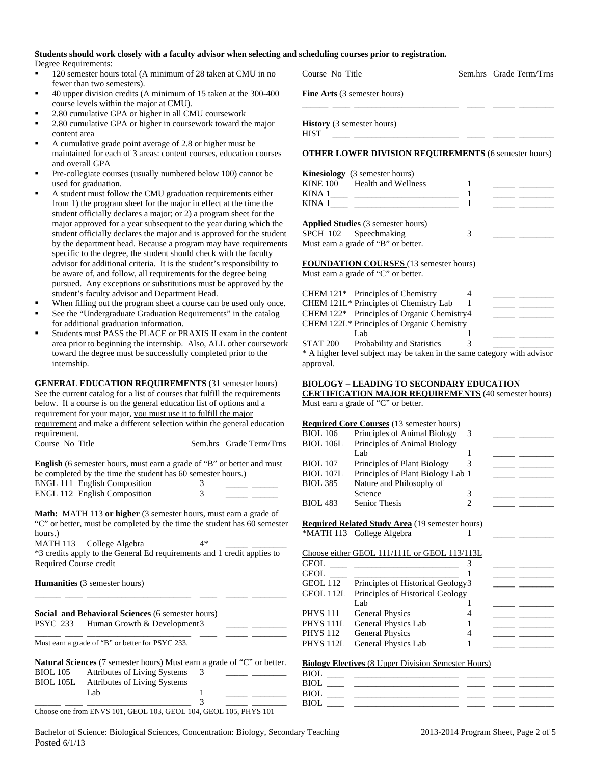#### **Students should work closely with a faculty advisor when selecting and scheduling courses prior to registration.**  Degree Requirements:

- <sup>120</sup> semester hours total (A minimum of 28 taken at CMU in no fewer than two semesters).
- 40 upper division credits (A minimum of 15 taken at the 300-400 course levels within the major at CMU).
- 2.80 cumulative GPA or higher in all CMU coursework
- 2.80 cumulative GPA or higher in coursework toward the major content area
- A cumulative grade point average of 2.8 or higher must be maintained for each of 3 areas: content courses, education courses and overall GPA
- Pre-collegiate courses (usually numbered below 100) cannot be used for graduation.
- A student must follow the CMU graduation requirements either from 1) the program sheet for the major in effect at the time the student officially declares a major; or 2) a program sheet for the major approved for a year subsequent to the year during which the student officially declares the major and is approved for the student by the department head. Because a program may have requirements specific to the degree, the student should check with the faculty advisor for additional criteria. It is the student's responsibility to be aware of, and follow, all requirements for the degree being pursued. Any exceptions or substitutions must be approved by the student's faculty advisor and Department Head.
- When filling out the program sheet a course can be used only once.
- See the "Undergraduate Graduation Requirements" in the catalog for additional graduation information.
- Students must PASS the PLACE or PRA area prior to beginning the internship. Al toward the degree must be successfully completed prior to the degree prior to the successfully internship.

**Social and Behavioral Sciences (6 semester** PSYC 233 Human Growth & Development 3 \_\_\_\_\_\_ \_\_\_\_ \_\_\_\_\_\_\_\_\_\_\_\_\_\_\_\_\_\_\_\_\_\_\_\_ \_\_\_\_ \_\_\_\_\_ \_\_\_\_\_\_\_\_

Must earn a grade of "B" or better for PSYC 233.

| <b>Natural Sciences</b> (7 semester hours) Must earn a grade of "C" or better. |                                     |  |  |  |
|--------------------------------------------------------------------------------|-------------------------------------|--|--|--|
| <b>BIOL</b> 105                                                                | <b>Attributes of Living Systems</b> |  |  |  |
| BIOL 105L                                                                      | <b>Attributes of Living Systems</b> |  |  |  |
|                                                                                | Lab                                 |  |  |  |
|                                                                                |                                     |  |  |  |

Choose one from ENVS 101, GEOL 103, GEOL 104, GEOL 105, PHYS 101

| See the "Undergraduate Graduation Requirements" in the catalog                | CHEM $122^*$ Principles of Organic Chemistry4                            |
|-------------------------------------------------------------------------------|--------------------------------------------------------------------------|
| for additional graduation information.                                        | CHEM 122L* Principles of Organic Chemistry                               |
| Students must PASS the PLACE or PRAXIS II exam in the content                 | Lab                                                                      |
| area prior to beginning the internship. Also, ALL other coursework            | <b>STAT 200</b><br>Probability and Statistics                            |
| toward the degree must be successfully completed prior to the                 | * A higher level subject may be taken in the same category with advisor  |
| internship.                                                                   | approval.                                                                |
| <b>GENERAL EDUCATION REQUIREMENTS</b> (31 semester hours)                     | <b>BIOLOGY – LEADING TO SECONDARY EDUCATION</b>                          |
| See the current catalog for a list of courses that fulfill the requirements   | <b>CERTIFICATION MAJOR REQUIREMENTS</b> (40 semester hours)              |
| below. If a course is on the general education list of options and a          | Must earn a grade of "C" or better.                                      |
| requirement for your major, you must use it to fulfill the major              |                                                                          |
| requirement and make a different selection within the general education       | <b>Required Core Courses</b> (13 semester hours)                         |
| requirement.                                                                  | <b>BIOL 106</b><br>Principles of Animal Biology<br>3                     |
| Course No Title<br>Sem.hrs Grade Term/Trns                                    | Principles of Animal Biology<br><b>BIOL 106L</b>                         |
|                                                                               | Lab                                                                      |
| <b>English</b> (6 semester hours, must earn a grade of "B" or better and must | Principles of Plant Biology<br><b>BIOL 107</b>                           |
| be completed by the time the student has 60 semester hours.)                  | Principles of Plant Biology Lab 1<br><b>BIOL 107L</b>                    |
| <b>ENGL 111 English Composition</b><br>3.                                     | Nature and Philosophy of<br><b>BIOL 385</b>                              |
| ENGL 112 English Composition                                                  | Science<br>3                                                             |
|                                                                               | <b>BIOL 483</b><br>Senior Thesis                                         |
| Math: MATH 113 or higher (3 semester hours, must earn a grade of              |                                                                          |
| "C" or better, must be completed by the time the student has 60 semester      | <b>Required Related Study Area</b> (19 semester hours)                   |
| hours.)                                                                       | *MATH 113 College Algebra                                                |
| MATH 113 College Algebra<br>4*                                                |                                                                          |
| *3 credits apply to the General Ed requirements and 1 credit applies to       | Choose either GEOL 111/111L or GEOL 113/113L                             |
| Required Course credit                                                        |                                                                          |
|                                                                               | <b>GEOL</b><br><u> 1999 - Jan Barnett, politik politik (</u>             |
| <b>Humanities</b> (3 semester hours)                                          | Principles of Historical Geology3<br>GEOL 112                            |
|                                                                               | Principles of Historical Geology<br>GEOL 112L                            |
|                                                                               | Lab                                                                      |
| Social and Behavioral Sciences (6 semester hours)                             | <b>PHYS 111</b><br><b>General Physics</b>                                |
| $DCNC$ $222$ $H_{\text{center}}$ $C_{\text{model}}$ $R$ $D_{\text{center}}$   | $C_{\text{max}}$ and $D_{\text{max}}$ and $L_{\text{max}}$<br>DIIVO 1111 |

**Fine Arts** (3 semester hours) \_\_\_\_\_\_ \_\_\_\_ \_\_\_\_\_\_\_\_\_\_\_\_\_\_\_\_\_\_\_\_\_\_\_\_ \_\_\_\_ \_\_\_\_\_ \_\_\_\_\_\_\_\_

**History** (3 semester hours) HIST \_\_\_\_ \_\_\_\_\_\_\_\_\_\_\_\_\_\_\_\_\_\_\_\_\_\_\_\_ \_\_\_\_ \_\_\_\_\_ \_\_\_\_\_\_\_\_

#### **OTHER LOWER DIVISION REQUIREMENTS** (6 semester hours)

Course No Title Sem.hrs Grade Term/Trns

|          | <b>Kinesiology</b> (3 semester hours) |  |
|----------|---------------------------------------|--|
| KINE 100 | Health and Wellness                   |  |
| KINA 1   |                                       |  |
| KINA 1   |                                       |  |

| <b>Applied Studies</b> (3 semester hours) |  |
|-------------------------------------------|--|
| SPCH 102 Speechmaking                     |  |
| Must earn a grade of "B" or better.       |  |

**FOUNDATION COURSES** (13 semester hours)

Must earn a grade of "C" or better.

|                 | CHEM 121 <sup>*</sup> Principles of Chemistry |  |  |
|-----------------|-----------------------------------------------|--|--|
|                 | CHEM 121L* Principles of Chemistry Lab        |  |  |
|                 | CHEM 122* Principles of Organic Chemistry4    |  |  |
|                 | CHEM 122L* Principles of Organic Chemistry    |  |  |
|                 | Lab.                                          |  |  |
| <b>STAT 200</b> | Probability and Statistics                    |  |  |

### $\underline{\text{TION}}$

|                  | Required Core Courses (15 semester hours) |  |  |
|------------------|-------------------------------------------|--|--|
| <b>BIOL</b> 106  | Principles of Animal Biology              |  |  |
| <b>BIOL 106L</b> | Principles of Animal Biology              |  |  |
|                  | Lab                                       |  |  |
| <b>BIOL</b> 107  | Principles of Plant Biology               |  |  |
| <b>BIOL 107L</b> | Principles of Plant Biology Lab 1         |  |  |
| <b>BIOL 385</b>  | Nature and Philosophy of                  |  |  |
|                  | Science                                   |  |  |
|                  |                                           |  |  |

| <b>GEOL</b>          |                                   |  |
|----------------------|-----------------------------------|--|
| <b>GEOL</b>          |                                   |  |
| GEOL 112             | Principles of Historical Geology3 |  |
| GEOL 112L            | Principles of Historical Geology  |  |
|                      | Lab                               |  |
| <b>PHYS 111</b>      | <b>General Physics</b>            |  |
| PHYS <sub>111L</sub> | General Physics Lab               |  |
| <b>PHYS 112</b>      | <b>General Physics</b>            |  |
|                      | PHYS 112L General Physics Lab     |  |

#### **Biology Electives** (8 Upper Division Semester Hours)

| <b>BIOL</b> |  |  |
|-------------|--|--|
| BIOL        |  |  |
| BIOL        |  |  |
| BIOL        |  |  |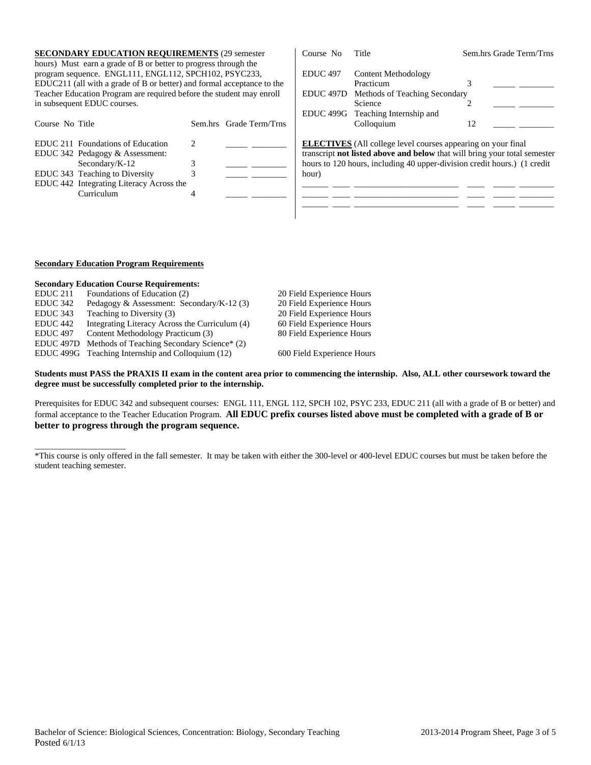| <b>SECONDARY EDUCATION REQUIREMENTS (29 semester)</b><br>hours) Must earn a grade of B or better to progress through the                                                                                                               |                |                         | Course No                               | Title                                                                                                                                                                                                                        |    | Sem.hrs Grade Term/Trns |
|----------------------------------------------------------------------------------------------------------------------------------------------------------------------------------------------------------------------------------------|----------------|-------------------------|-----------------------------------------|------------------------------------------------------------------------------------------------------------------------------------------------------------------------------------------------------------------------------|----|-------------------------|
| program sequence. ENGL111, ENGL112, SPCH102, PSYC233,<br>EDUC211 (all with a grade of B or better) and formal acceptance to the<br>Teacher Education Program are required before the student may enroll<br>in subsequent EDUC courses. |                |                         | <b>EDUC</b> 497<br>EDUC <sub>497D</sub> | Content Methodology<br>Practicum<br>Methods of Teaching Secondary<br>Science                                                                                                                                                 |    |                         |
| Course No Title                                                                                                                                                                                                                        |                | Sem.hrs Grade Term/Trns | EDUC <sub>499G</sub>                    | Teaching Internship and<br>Colloquium                                                                                                                                                                                        | 12 |                         |
| EDUC 211 Foundations of Education<br>EDUC 342 Pedagogy & Assessment:<br>Secondary/ $K-12$<br>EDUC 343 Teaching to Diversity<br>EDUC 442 Integrating Literacy Across the<br>Curriculum                                                  | $\mathfrak{D}$ |                         | hour)                                   | <b>ELECTIVES</b> (All college level courses appearing on your final<br>transcript not listed above and below that will bring your total semester<br>hours to 120 hours, including 40 upper-division credit hours.) (1 credit |    |                         |

#### **Secondary Education Program Requirements**

 $\overline{\phantom{a}}$  , and the set of the set of the set of the set of the set of the set of the set of the set of the set of the set of the set of the set of the set of the set of the set of the set of the set of the set of the s

|                      | <b>Secondary Education Course Requirements:</b>   |                            |
|----------------------|---------------------------------------------------|----------------------------|
| EDUC <sub>211</sub>  | Foundations of Education (2)                      | 20 Field Experience Hours  |
| EDUC 342             | Pedagogy & Assessment: Secondary/K-12 $(3)$       | 20 Field Experience Hours  |
| EDUC <sub>343</sub>  | Teaching to Diversity (3)                         | 20 Field Experience Hours  |
| EDUC <sub>442</sub>  | Integrating Literacy Across the Curriculum (4)    | 60 Field Experience Hours  |
| <b>EDUC</b> 497      | Content Methodology Practicum (3)                 | 80 Field Experience Hours  |
| EDUC <sub>497D</sub> | Methods of Teaching Secondary Science* (2)        |                            |
|                      | EDUC 499G Teaching Internship and Colloquium (12) | 600 Field Experience Hours |

**Students must PASS the PRAXIS II exam in the content area prior to commencing the internship. Also, ALL other coursework toward the degree must be successfully completed prior to the internship.** 

Prerequisites for EDUC 342 and subsequent courses: ENGL 111, ENGL 112, SPCH 102, PSYC 233, EDUC 211 (all with a grade of B or better) and formal acceptance to the Teacher Education Program. **All EDUC prefix courses listed above must be completed with a grade of B or better to progress through the program sequence.**

<sup>\*</sup>This course is only offered in the fall semester. It may be taken with either the 300-level or 400-level EDUC courses but must be taken before the student teaching semester.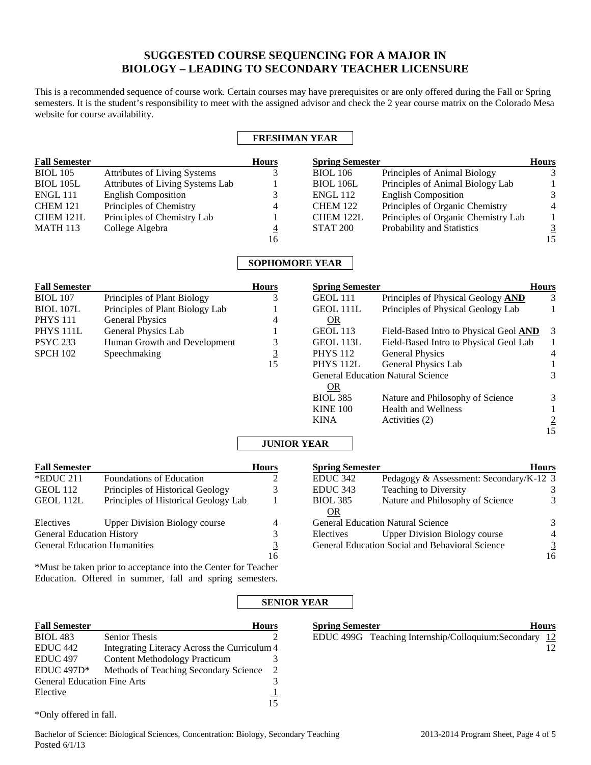# **SUGGESTED COURSE SEQUENCING FOR A MAJOR IN BIOLOGY – LEADING TO SECONDARY TEACHER LICENSURE**

This is a recommended sequence of course work. Certain courses may have prerequisites or are only offered during the Fall or Spring semesters. It is the student's responsibility to meet with the assigned advisor and check the 2 year course matrix on the Colorado Mesa website for course availability.

## **FRESHMAN YEAR**

| <b>Fall Semester</b> |                                  | <b>Hours</b> | <b>Spring Semester</b> |                                     | <b>Hours</b>   |
|----------------------|----------------------------------|--------------|------------------------|-------------------------------------|----------------|
| <b>BIOL</b> 105      | Attributes of Living Systems     |              | <b>BIOL</b> 106        | Principles of Animal Biology        |                |
| <b>BIOL 105L</b>     | Attributes of Living Systems Lab |              | <b>BIOL 106L</b>       | Principles of Animal Biology Lab    |                |
| <b>ENGL 111</b>      | <b>English Composition</b>       |              | <b>ENGL 112</b>        | <b>English Composition</b>          | $\mathbf{R}$   |
| <b>CHEM 121</b>      | Principles of Chemistry          | 4            | <b>CHEM 122</b>        | Principles of Organic Chemistry     | $\overline{4}$ |
| CHEM 121L            | Principles of Chemistry Lab      |              | CHEM 122L              | Principles of Organic Chemistry Lab |                |
| <b>MATH 113</b>      | College Algebra                  | 4            | <b>STAT 200</b>        | Probability and Statistics          |                |
|                      |                                  | 16           |                        |                                     | 15             |

## **SOPHOMORE YEAR**

| <b>Fall Semester</b> |                                 | <b>Hours</b> | <b>Spring Semester</b>                   |                                        | <b>Hours</b>   |
|----------------------|---------------------------------|--------------|------------------------------------------|----------------------------------------|----------------|
| <b>BIOL 107</b>      | Principles of Plant Biology     |              | GEOL 111                                 | Principles of Physical Geology AND     | 3              |
| <b>BIOL 107L</b>     | Principles of Plant Biology Lab |              | <b>GEOL 111L</b>                         | Principles of Physical Geology Lab     |                |
| PHYS 111             | General Physics                 | 4            | <b>OR</b>                                |                                        |                |
| PHYS 111L            | General Physics Lab             |              | <b>GEOL 113</b>                          | Field-Based Intro to Physical Geol AND | 3              |
| PSYC 233             | Human Growth and Development    | 3            | GEOL 113L                                | Field-Based Intro to Physical Geol Lab |                |
| <b>SPCH 102</b>      | Speechmaking                    |              | <b>PHYS</b> 112                          | <b>General Physics</b>                 | $\overline{4}$ |
|                      |                                 | 15           | PHYS <sub>112L</sub>                     | General Physics Lab                    |                |
|                      |                                 |              | <b>General Education Natural Science</b> |                                        | 3              |
|                      |                                 |              | <b>OR</b>                                |                                        |                |
|                      |                                 |              | <b>BIOL 385</b>                          | Nature and Philosophy of Science       | 3              |
|                      |                                 |              | <b>KINE 100</b>                          | <b>Health and Wellness</b>             |                |
|                      |                                 |              | <b>KINA</b>                              | Activities (2)                         |                |
|                      |                                 |              |                                          |                                        | 15             |

## **JUNIOR YEAR**

| <b>Fall Semester</b>                |                                      | <b>Hours</b> | <b>Spring Semester</b> |                                                 | <b>Hours</b>   |
|-------------------------------------|--------------------------------------|--------------|------------------------|-------------------------------------------------|----------------|
| $*$ EDUC 211                        | <b>Foundations of Education</b>      |              | EDUC <sub>342</sub>    | Pedagogy & Assessment: Secondary/K-12 3         |                |
| GEOL 112                            | Principles of Historical Geology     |              | <b>EDUC</b> 343        | <b>Teaching to Diversity</b>                    |                |
| GEOL 112L                           | Principles of Historical Geology Lab |              | <b>BIOL 385</b>        | Nature and Philosophy of Science                |                |
|                                     |                                      |              | 0R                     |                                                 |                |
| Electives                           | <b>Upper Division Biology course</b> | 4            |                        | <b>General Education Natural Science</b>        | 3              |
| <b>General Education History</b>    |                                      |              | Electives              | <b>Upper Division Biology course</b>            | $\overline{4}$ |
| <b>General Education Humanities</b> |                                      |              |                        | General Education Social and Behavioral Science |                |
|                                     |                                      | 16           |                        |                                                 | 16             |

\*Must be taken prior to acceptance into the Center for Teacher Education. Offered in summer, fall and spring semesters.

## **SENIOR YEAR**

| <b>Fall Semester</b>               |                                              | <b>Hours</b>   | <b>Spring Semester</b> | <b>Hours</b>                                             |
|------------------------------------|----------------------------------------------|----------------|------------------------|----------------------------------------------------------|
| <b>BIOL</b> 483                    | <b>Senior Thesis</b>                         | $\overline{ }$ |                        | EDUC 499G Teaching Internship/Colloquium:Secondary<br>12 |
| EDUC <sub>442</sub>                | Integrating Literacy Across the Curriculum 4 |                |                        |                                                          |
| EDUC <sub>497</sub>                | <b>Content Methodology Practicum</b>         |                |                        |                                                          |
| EDUC $497D*$                       | Methods of Teaching Secondary Science        |                |                        |                                                          |
| <b>General Education Fine Arts</b> |                                              |                |                        |                                                          |
| Elective                           |                                              |                |                        |                                                          |
|                                    |                                              | .5             |                        |                                                          |

\*Only offered in fall.